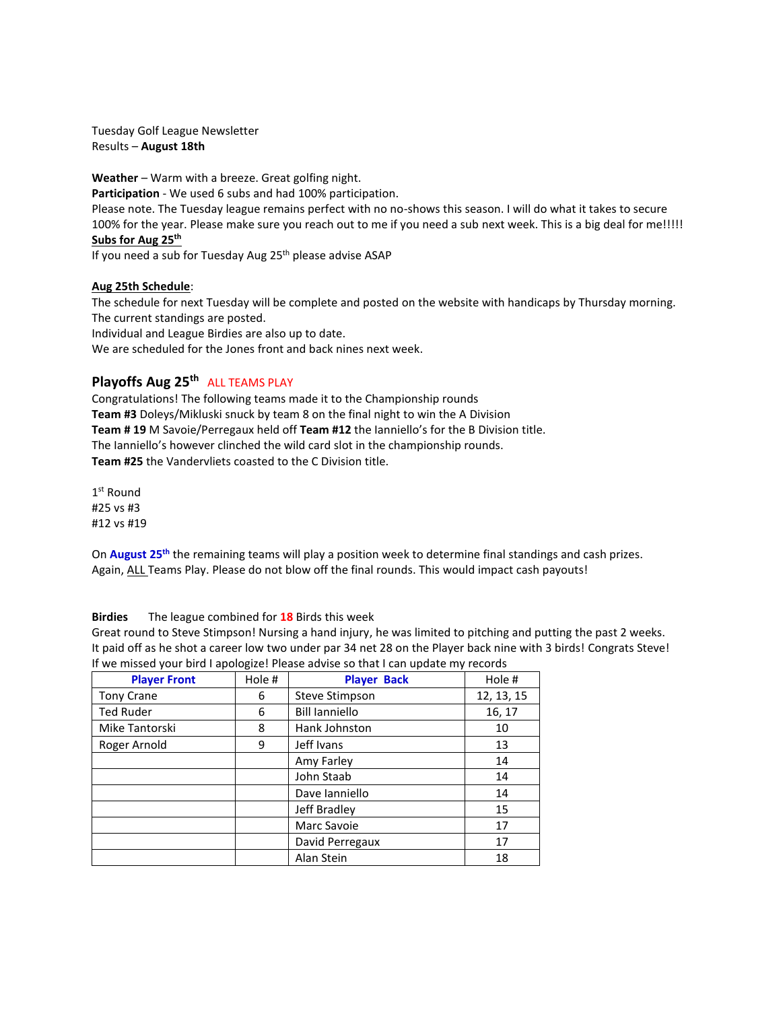Tuesday Golf League Newsletter Results – **August 18th**

**Weather** – Warm with a breeze. Great golfing night. **Participation** - We used 6 subs and had 100% participation. Please note. The Tuesday league remains perfect with no no-shows this season. I will do what it takes to secure 100% for the year. Please make sure you reach out to me if you need a sub next week. This is a big deal for me!!!!! **Subs for Aug 25th**

If you need a sub for Tuesday Aug 25<sup>th</sup> please advise ASAP

#### **Aug 25th Schedule**:

The schedule for next Tuesday will be complete and posted on the website with handicaps by Thursday morning. The current standings are posted. Individual and League Birdies are also up to date. We are scheduled for the Jones front and back nines next week.

# **Playoffs Aug 25th** ALL TEAMS PLAY

Congratulations! The following teams made it to the Championship rounds **Team #3** Doleys/Mikluski snuck by team 8 on the final night to win the A Division **Team # 19** M Savoie/Perregaux held off **Team #12** the Ianniello's for the B Division title. The Ianniello's however clinched the wild card slot in the championship rounds. **Team #25** the Vandervliets coasted to the C Division title.

1 st Round #25 vs #3 #12 vs #19

On **August 25th** the remaining teams will play a position week to determine final standings and cash prizes. Again, ALL Teams Play. Please do not blow off the final rounds. This would impact cash payouts!

## **Birdies** The league combined for **18** Birds this week

Great round to Steve Stimpson! Nursing a hand injury, he was limited to pitching and putting the past 2 weeks. It paid off as he shot a career low two under par 34 net 28 on the Player back nine with 3 birds! Congrats Steve! If we missed your bird I apologize! Please advise so that I can update my records

| <b>Player Front</b> | Hole # | <b>Player Back</b>    | Hole #     |  |
|---------------------|--------|-----------------------|------------|--|
| <b>Tony Crane</b>   | 6      | <b>Steve Stimpson</b> | 12, 13, 15 |  |
| <b>Ted Ruder</b>    | 6      | <b>Bill lanniello</b> | 16, 17     |  |
| Mike Tantorski      | 8      | Hank Johnston         | 10         |  |
| Roger Arnold        | 9      | Jeff Ivans            | 13         |  |
|                     |        | Amy Farley            | 14         |  |
|                     |        | John Staab            | 14         |  |
|                     |        | Dave Janniello        | 14         |  |
|                     |        | Jeff Bradley          | 15         |  |
|                     |        | Marc Savoie           | 17         |  |
|                     |        | David Perregaux       | 17         |  |
|                     |        | Alan Stein            | 18         |  |